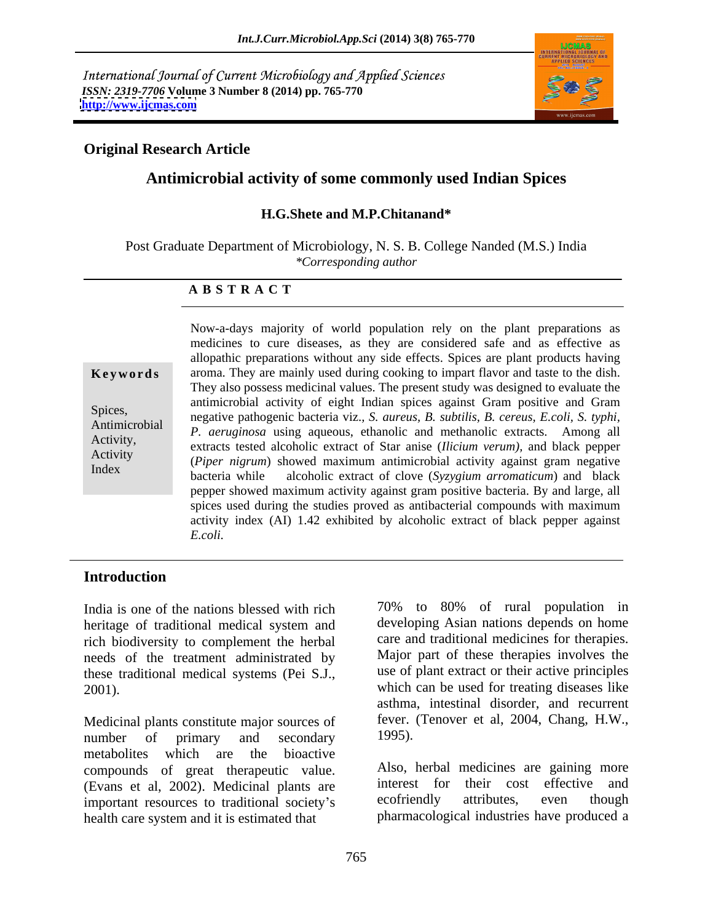International Journal of Current Microbiology and Applied Sciences *ISSN: 2319-7706* **Volume 3 Number 8 (2014) pp. 765-770 <http://www.ijcmas.com>**



# **Original Research Article**

# **Antimicrobial activity of some commonly used Indian Spices**

### **H.G.Shete and M.P.Chitanand\***

Post Graduate Department of Microbiology, N. S. B. College Nanded (M.S.) India *\*Corresponding author* 

### **A B S T R A C T**

**Keywords** aroma. They are mainly used during cooking to impart flavor and taste to the dish. Spices, negative pathogenic bacteria viz.*, S. aureus, B. subtilis, B. cereus, E.coli, S. typhi,* Antimicrobial *P. aeruginosa* using aqueous, ethanolic and methanolic extracts. Among all Activity,<br>
extracts tested alcoholic extract of Star anise (*Ilicium verum*), and black pepper Activity (*Piper nigrum*) showed maximum antimicrobial activity against gram negative Index<br>bacteria while alcoholic extract of clove (*Syzygium arromaticum*) and black Now-a-days majority of world population rely on the plant preparations as medicines to cure diseases, as they are considered safe and as effective as allopathic preparations without any side effects. Spices are plant products having They also possess medicinal values. The present study was designed to evaluate the antimicrobial activity of eight Indian spices against Gram positive and Gram pepper showed maximum activity against gram positive bacteria. By and large, all spices used during the studies proved as antibacterial compounds with maximum activity index (AI) 1.42 exhibited by alcoholic extract of black pepper against *E.coli.* 

### **Introduction**

India is one of the nations blessed with rich heritage of traditional medical system and rich biodiversity to complement the herbal needs of the treatment administrated by these traditional medical systems (Pei S.J.,

Medicinal plants constitute major sources of fever.<br>number of primary and secondary 1995). number of primary and secondary 1995). metabolites which are the bioactive compounds of great therapeutic value. (Evans et al, 2002). Medicinal plants are interest for their cost effective and important resources to traditional society's executional example attributes, even though important resources to traditional society's health care system and it is estimated that

2001). which can be used for treating diseases like 70% to 80% of rural population in developing Asian nations depends on home care and traditional medicines for therapies. Major part of these therapies involves the use of plant extract or their active principles asthma, intestinal disorder, and recurrent fever. (Tenover et al, 2004, Chang, H.W., 1995).

> Also, herbal medicines are gaining more interest for their cost effective and ecofriendly attributes, even though pharmacological industries have produced a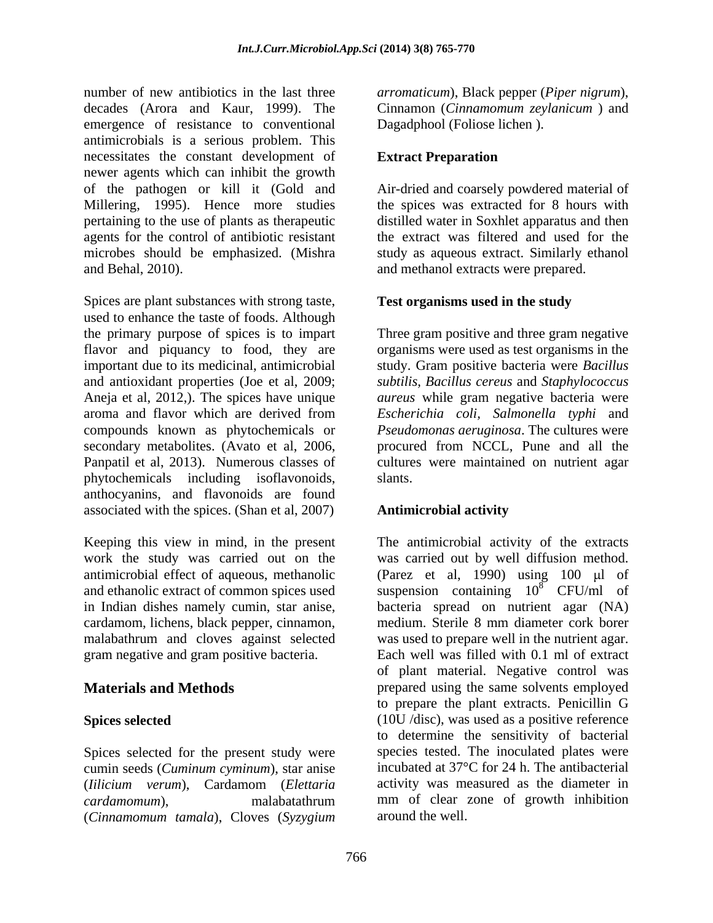number of new antibiotics in the last three *arromaticum*), Black pepper (*Piper nigrum*), decades (Arora and Kaur, 1999). The Cinnamon (*Cinnamomum zeylanicum* ) and emergence of resistance to conventional antimicrobials is a serious problem. This necessitates the constant development of **Extract Preparation** newer agents which can inhibit the growth of the pathogen or kill it (Gold and Air-dried and coarsely powdered material of Millering, 1995). Hence more studies pertaining to the use of plants as therapeutic agents for the control of antibiotic resistant the extract was filtered and used for the microbes should be emphasized. (Mishra study as aqueous extract. Similarly ethanol and Behal, 2010). and methanol extracts were prepared.

Spices are plant substances with strong taste, used to enhance the taste of foods. Although the primary purpose of spices is to impart Three gram positive and three gram negative flavor and piquancy to food, they are organisms were used as test organisms in the important due to its medicinal, antimicrobial study. Gram positive bacteria were *Bacillus* and antioxidant properties (Joe et al, 2009; *subtilis, Bacillus cereus* and *Staphylococcus*  Aneja et al, 2012,). The spices have unique *aureus* while gram negative bacteria were aroma and flavor which are derived from *Escherichia coli, Salmonella typhi* and compounds known as phytochemicals or *Pseudomonas aeruginosa*. The cultures were secondary metabolites. (Avato et al, 2006, Panpatil et al, 2013). Numerous classes of cultures were maintained on nutrient agar phytochemicals including isoflavonoids, anthocyanins, and flavonoids are found associated with the spices. (Shan et al, 2007)

Keeping this view in mind, in the present in Indian dishes namely cumin, star anise, cardamom, lichens, black pepper, cinnamon,

Spices selected for the present study were cumin seeds (*Cuminum cyminum*), star anise (*Cinnamomum tamala*), Cloves (*Syzygium* 

Dagadphool (Foliose lichen ).

# **Extract Preparation**

the spices was extracted for 8 hours with distilled water in Soxhlet apparatus and then

# **Test organisms used in the study**

procured from NCCL, Pune and all the slants.

### **Antimicrobial activity**

work the study was carried out on the was carried out by well diffusion method. antimicrobial effect of aqueous, methanolic (Parez et al, 1990) using 100 µl of and ethanolic extract of common spices used suspension containing  $10^8$  CFU/ml of malabathrum and cloves against selected was used to prepare well in the nutrient agar. gram negative and gram positive bacteria. Each well was filled with 0.1 ml of extract **Materials and Methods** prepared using the same solvents employed Spices selected (10U /disc), was used as a positive reference (*Iilicium verum*), Cardamom (*Elettaria cardamomum*), malabatathrum mm of clear zone of growth inhibition The antimicrobial activity of the extracts  $8^8$  CFU/ml of bacteria spread on nutrient agar (NA) medium. Sterile 8 mm diameter cork borer of plant material. Negative control was to prepare the plant extracts. Penicillin G to determine the sensitivity of bacterial species tested. The inoculated plates were incubated at 37°C for 24 h. The antibacterial activity was measured as the diameter in around the well.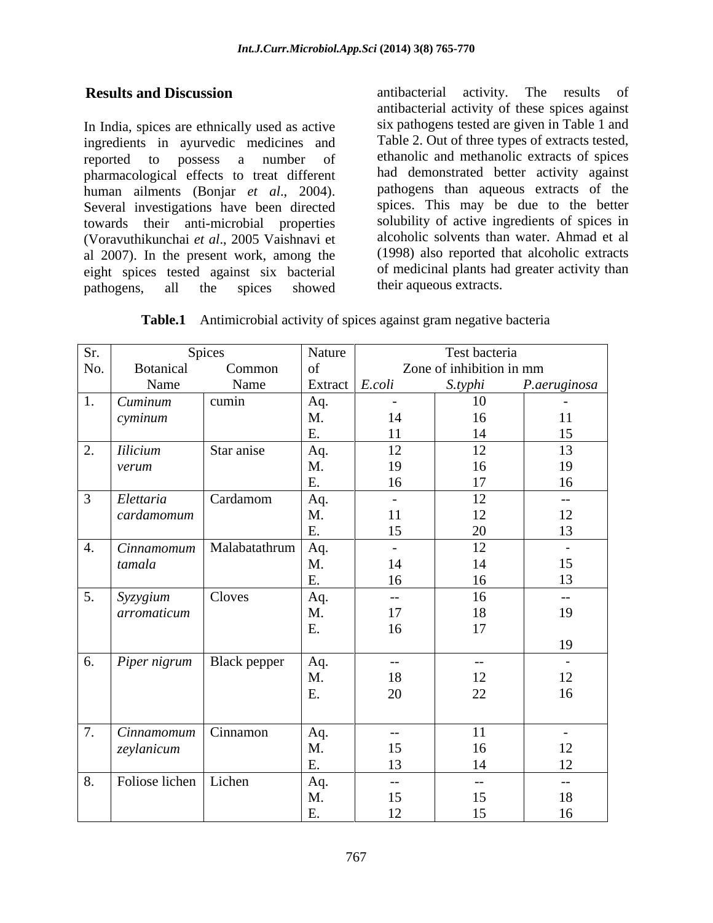In India, spices are ethnically used as active ingredients in ayurvedic medicines and reported to possess a number of ethanolic and methanolic extracts of spices pharmacological effects to treat different human ailments (Bonjar *et al*., 2004). Several investigations have been directed towards their anti-microbial properties (Voravuthikunchai *et al*., 2005 Vaishnavi et al 2007). In the present work, among the eight spices tested against six bacterial pathogens, all the spices showed their aqueous extracts.

**Results and Discussion antibacterial** activity. The results of antibacterial activity. The results of antibacterial activity of these spices against six pathogens tested are given in Table 1 and Table 2. Out of three types of extracts tested, had demonstrated better activity against pathogens than aqueous extracts of the spices. This may be due to the better solubility of active ingredients of spices in alcoholic solvents than water. Ahmad et al (1998) also reported that alcoholic extracts of medicinal plants had greater activity than their aqueous extracts.

**Table.1** Antimicrobial activity of spices against gram negative bacteria

| No.<br>$\mathcal{L}$ . | Botanical<br>Name<br>Cuminum<br>cyminum<br><b>Iilicium</b><br>verum | Common<br>Name<br>cumin<br>Star anise | Extract $E. coli$<br>Aq.<br>M.<br>$E$ . | $\overline{\phantom{0}}$<br>14 | Zone of inhibition in mm<br>S.typhi<br>10<br>16 | P.aeruginosa<br>$\sim$ |
|------------------------|---------------------------------------------------------------------|---------------------------------------|-----------------------------------------|--------------------------------|-------------------------------------------------|------------------------|
|                        |                                                                     |                                       |                                         |                                |                                                 |                        |
|                        |                                                                     |                                       |                                         |                                |                                                 |                        |
|                        |                                                                     |                                       |                                         |                                |                                                 |                        |
|                        |                                                                     |                                       |                                         |                                |                                                 | $\overline{11}$        |
|                        |                                                                     |                                       |                                         | 11                             | 14                                              | 15                     |
|                        |                                                                     |                                       | Aq.                                     | 12                             | 12                                              | 13                     |
|                        |                                                                     |                                       | M.                                      | 19                             | 16                                              | 19                     |
|                        |                                                                     |                                       |                                         | 16                             | 17                                              | 16                     |
|                        | Elettaria                                                           | Cardamom                              | Aq.                                     | $\sim$                         | 12                                              | $\sim$ $-$             |
|                        | cardamomum                                                          |                                       | M.                                      | <sup>11</sup>                  | 12                                              | 12                     |
|                        |                                                                     |                                       | E.                                      | 15                             | 20                                              | 13                     |
| 4.                     | Cinnamomum                                                          | Malabatathrum                         | Aq.                                     | $-$                            | 12                                              | $\sim$ $-$             |
|                        | tamala                                                              |                                       | M.                                      | 14                             | 14                                              | 15                     |
|                        |                                                                     |                                       | Ε.                                      | 16                             | 16                                              | 13                     |
| $\sim$                 | Syzygium                                                            | Cloves                                | Aq.                                     | $--$                           | 16                                              | $- -$                  |
|                        | arromaticum                                                         |                                       | M.                                      | 17                             | 18                                              | 19                     |
|                        |                                                                     |                                       | E.                                      | 16                             | 17                                              |                        |
|                        |                                                                     |                                       |                                         |                                |                                                 | 19                     |
|                        |                                                                     |                                       |                                         |                                |                                                 |                        |
| 6.                     | $\sum$ Piper nigrum                                                 | Black pepper                          | Aq.                                     | $--$                           | $  \,$                                          | $\sim$                 |
|                        |                                                                     |                                       | M.                                      | 18                             | 12                                              | 12                     |
|                        |                                                                     |                                       |                                         | 20                             | 22                                              | 16                     |
|                        |                                                                     |                                       |                                         |                                |                                                 |                        |
|                        | Cinnamomum                                                          | Cinnamon                              | Aq.                                     | $-$ – $ \,$                    | 11                                              | $\overline{a}$         |
|                        | zeylanicum                                                          |                                       | M.                                      | 15                             | 16                                              | 12                     |
|                        |                                                                     |                                       | $E$ .                                   | 13                             | 14                                              | 12                     |
| 8.                     | Foliose lichen                                                      | Lichen                                | Aq.                                     | $--$                           | $ -$                                            | $--$                   |
|                        |                                                                     |                                       | M.                                      | 15                             | 15                                              | 18                     |
|                        |                                                                     |                                       | E.                                      | 12 <sub>1</sub>                | 15                                              | 16                     |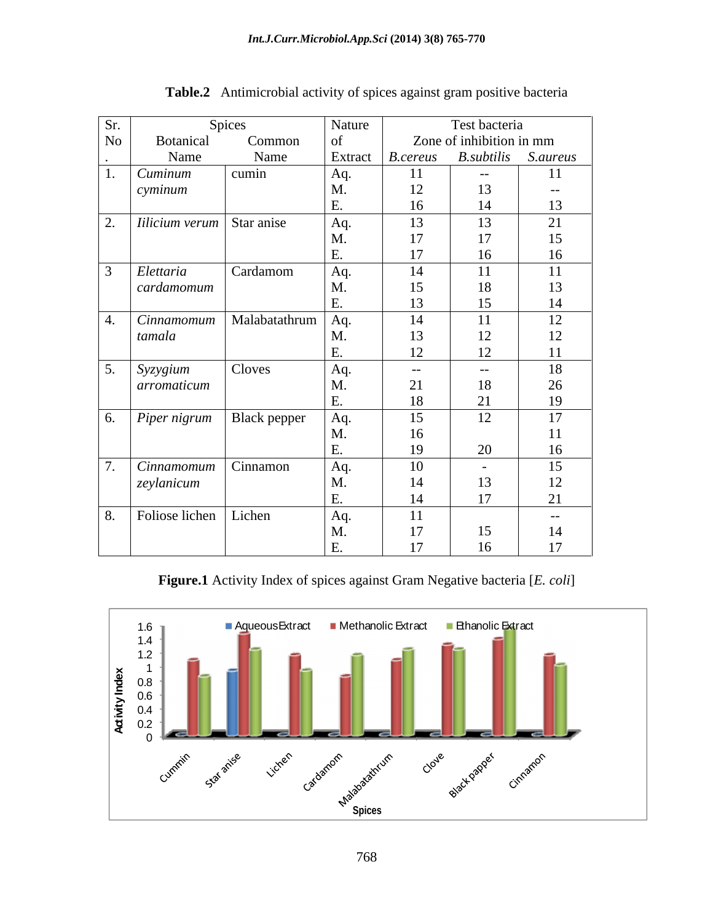| Sr.         |                                  | Spices                       | Nature   |                     | Test bacteria            |      |
|-------------|----------------------------------|------------------------------|----------|---------------------|--------------------------|------|
| No          | Botanical                        | Common                       | of       |                     | Zone of inhibition in mm |      |
|             | Name                             | Name                         | Extract  | <b>B.cereus</b>     | B.subtilis S.aureus      |      |
|             | Cuminum                          | cumin                        | Aq.      | -11                 | $ -$                     | 11   |
|             | cyminum                          |                              | M.       | 12<br>$\frac{1}{2}$ | 13                       | $--$ |
|             |                                  |                              | E.       | 16                  | 14                       | 13   |
| 2.          | <i>Iilicium verum</i> Star anise |                              | Aq.      | 13                  | 13                       | 21   |
|             |                                  |                              | M        | 17                  | 17                       | 15   |
|             |                                  |                              | E.       | 17                  | 16                       | 16   |
|             | Elettaria                        | Cardamom                     | Aq.      | 14                  | 11                       | 11   |
|             | cardamomum                       |                              | M        | 15                  | 18                       | 13   |
|             |                                  |                              |          | 13                  | 15                       | 14   |
|             | Cinnamomum                       | Malabatathrum                | Aq.      | 14                  | 11                       | 12   |
|             | tamala                           |                              |          | 13                  | 12                       | 12   |
|             |                                  |                              | E.       | 12                  | 12                       | 11   |
| _____<br>5. |                                  | Cloves                       |          |                     |                          | 18   |
|             | Syzygium                         |                              | Aq.<br>M | $- - -$             | $-  \sim$                | 26   |
|             | arromaticum                      |                              | E.       | 21<br>18            | 18<br>21                 | 19   |
|             |                                  |                              |          |                     |                          |      |
|             |                                  | 6. Piper nigrum Black pepper | Aq.      | 15                  | 12                       | 17   |
|             |                                  |                              |          | 16                  |                          | 11   |
|             |                                  |                              | E.       | 19                  | 20                       | 16   |
|             | Cinnamomum                       | Cinnamon                     | Aq.      | 10                  | $\sim$                   | 15   |
|             | zeylanicum                       |                              | M        | 14                  | 13                       | 12   |
|             |                                  |                              | E.       | 14                  | 17                       | 21   |
|             | 8. Foliose lichen Lichen         |                              | Aq.      | <sup>11</sup>       |                          | $--$ |
|             |                                  |                              | M.       | 17                  | 15                       | 14   |
|             |                                  |                              | E.       | 17                  | 16                       | 17   |

**Table.2** Antimicrobial activity of spices against gram positive bacteria

**Figure.1** Activity Index of spices against Gram Negative bacteria [*E. coli*]

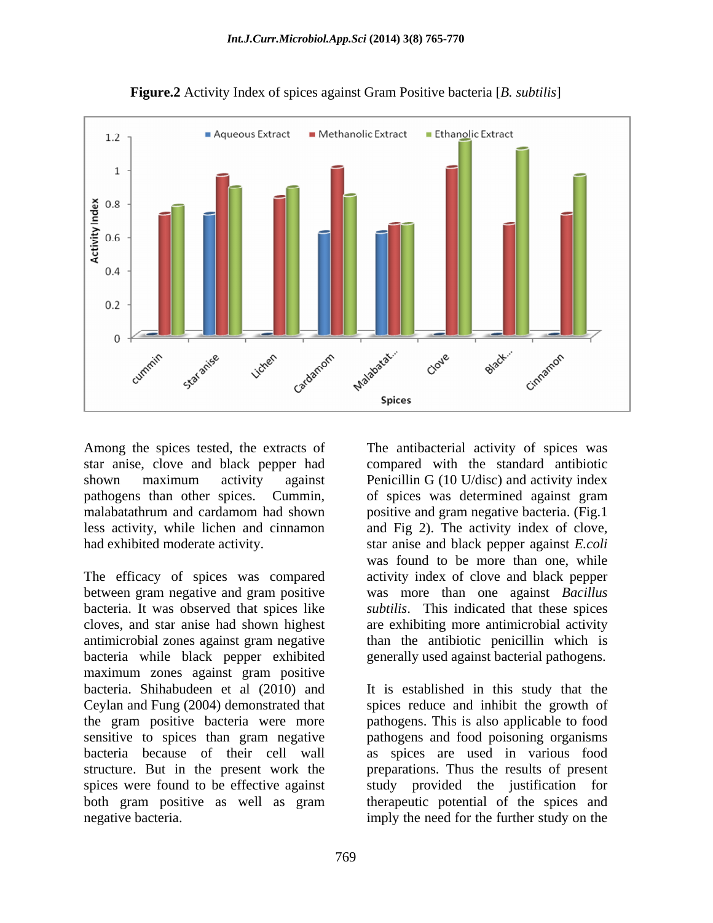

**Figure.2** Activity Index of spices against Gram Positive bacteria [*B. subtilis*]

The efficacy of spices was compared between gram negative and gram positive was more than one against *Bacillus*  bacteria. It was observed that spices like *subtilis*. This indicated that these spices cloves, and star anise had shown highest are exhibiting more antimicrobial activity antimicrobial zones against gram negative than the antibiotic penicillin which is bacteria while black pepper exhibited generally used against bacterial pathogens. maximum zones against gram positive bacteria. Shihabudeen et al (2010) and It is established in this study that the Ceylan and Fung (2004) demonstrated that spices reduce and inhibit the growth of the gram positive bacteria were more pathogens. This is also applicable to food sensitive to spices than gram negative pathogens and food poisoning organisms bacteria because of their cell wall as spices are used in various food structure. But in the present work the preparations. Thus the results of present spices were found to be effective against study provided the justification for both gram positive as well as gram therapeutic potential of the spices and negative bacteria. imply the need for the further study on the

Among the spices tested, the extracts of The antibacterial activity of spices was star anise, clove and black pepper had compared with the standard antibiotic shown maximum activity against Penicillin G (10 U/disc) and activity index pathogens than other spices. Cummin, of spices was determined against gram malabatathrum and cardamom had shown positive and gram negative bacteria. (Fig.1 less activity, while lichen and cinnamon and Fig 2).The activity index of clove, had exhibited moderate activity. star anise and black pepper against *E.coli* was found to be more than one, while activity index of clove and black pepper